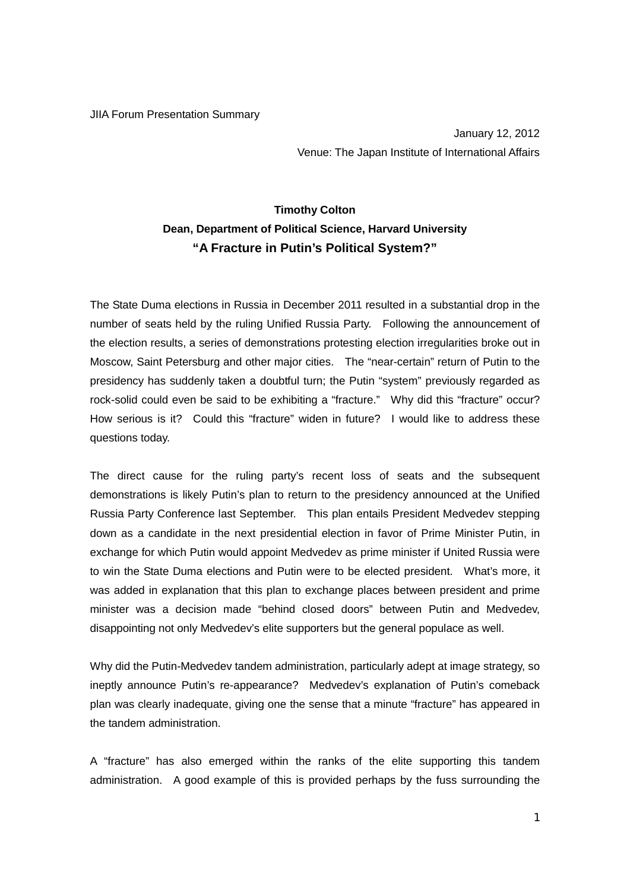## JIIA Forum Presentation Summary

January 12, 2012 Venue: The Japan Institute of International Affairs

## **Timothy Colton Dean, Department of Political Science, Harvard University "A Fracture in Putin's Political System?"**

The State Duma elections in Russia in December 2011 resulted in a substantial drop in the number of seats held by the ruling Unified Russia Party. Following the announcement of the election results, a series of demonstrations protesting election irregularities broke out in Moscow, Saint Petersburg and other major cities. The "near-certain" return of Putin to the presidency has suddenly taken a doubtful turn; the Putin "system" previously regarded as rock-solid could even be said to be exhibiting a "fracture." Why did this "fracture" occur? How serious is it? Could this "fracture" widen in future? I would like to address these questions today.

The direct cause for the ruling party's recent loss of seats and the subsequent demonstrations is likely Putin's plan to return to the presidency announced at the Unified Russia Party Conference last September. This plan entails President Medvedev stepping down as a candidate in the next presidential election in favor of Prime Minister Putin, in exchange for which Putin would appoint Medvedev as prime minister if United Russia were to win the State Duma elections and Putin were to be elected president. What's more, it was added in explanation that this plan to exchange places between president and prime minister was a decision made "behind closed doors" between Putin and Medvedev, disappointing not only Medvedev's elite supporters but the general populace as well.

Why did the Putin-Medvedev tandem administration, particularly adept at image strategy, so ineptly announce Putin's re-appearance? Medvedev's explanation of Putin's comeback plan was clearly inadequate, giving one the sense that a minute "fracture" has appeared in the tandem administration.

A "fracture" has also emerged within the ranks of the elite supporting this tandem administration. A good example of this is provided perhaps by the fuss surrounding the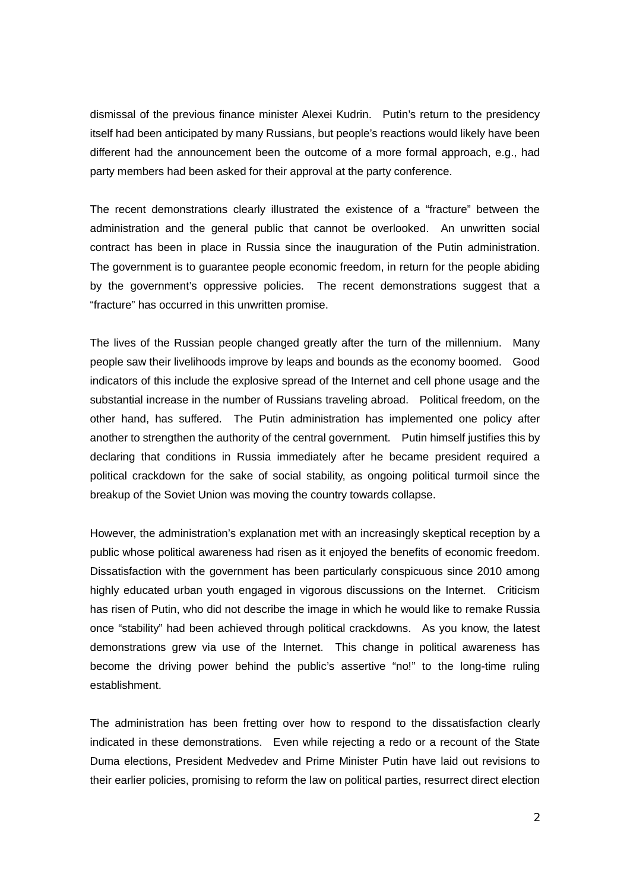dismissal of the previous finance minister Alexei Kudrin. Putin's return to the presidency itself had been anticipated by many Russians, but people's reactions would likely have been different had the announcement been the outcome of a more formal approach, e.g., had party members had been asked for their approval at the party conference.

The recent demonstrations clearly illustrated the existence of a "fracture" between the administration and the general public that cannot be overlooked. An unwritten social contract has been in place in Russia since the inauguration of the Putin administration. The government is to guarantee people economic freedom, in return for the people abiding by the government's oppressive policies. The recent demonstrations suggest that a "fracture" has occurred in this unwritten promise.

The lives of the Russian people changed greatly after the turn of the millennium. Many people saw their livelihoods improve by leaps and bounds as the economy boomed. Good indicators of this include the explosive spread of the Internet and cell phone usage and the substantial increase in the number of Russians traveling abroad. Political freedom, on the other hand, has suffered. The Putin administration has implemented one policy after another to strengthen the authority of the central government. Putin himself justifies this by declaring that conditions in Russia immediately after he became president required a political crackdown for the sake of social stability, as ongoing political turmoil since the breakup of the Soviet Union was moving the country towards collapse.

However, the administration's explanation met with an increasingly skeptical reception by a public whose political awareness had risen as it enjoyed the benefits of economic freedom. Dissatisfaction with the government has been particularly conspicuous since 2010 among highly educated urban youth engaged in vigorous discussions on the Internet. Criticism has risen of Putin, who did not describe the image in which he would like to remake Russia once "stability" had been achieved through political crackdowns. As you know, the latest demonstrations grew via use of the Internet. This change in political awareness has become the driving power behind the public's assertive "no!" to the long-time ruling establishment.

The administration has been fretting over how to respond to the dissatisfaction clearly indicated in these demonstrations. Even while rejecting a redo or a recount of the State Duma elections, President Medvedev and Prime Minister Putin have laid out revisions to their earlier policies, promising to reform the law on political parties, resurrect direct election